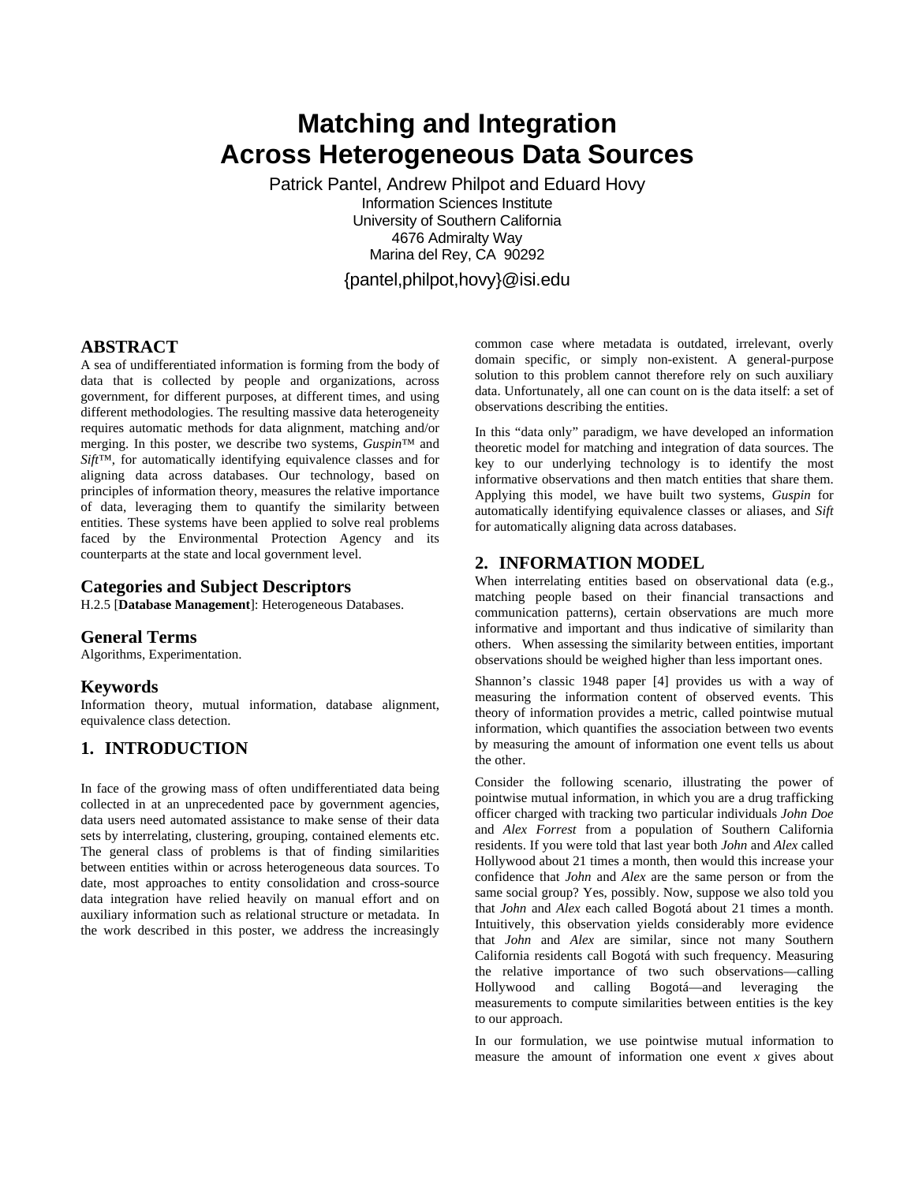# **Matching and Integration Across Heterogeneous Data Sources**

Patrick Pantel, Andrew Philpot and Eduard Hovy Information Sciences Institute University of Southern California 4676 Admiralty Way Marina del Rey, CA 90292 {pantel,philpot,hovy}@isi.edu

## **ABSTRACT**

A sea of undifferentiated information is forming from the body of data that is collected by people and organizations, across government, for different purposes, at different times, and using different methodologies. The resulting massive data heterogeneity requires automatic methods for data alignment, matching and/or merging. In this poster, we describe two systems, *Guspin*™ and *Sift*™, for automatically identifying equivalence classes and for aligning data across databases. Our technology, based on principles of information theory, measures the relative importance of data, leveraging them to quantify the similarity between entities. These systems have been applied to solve real problems faced by the Environmental Protection Agency and its counterparts at the state and local government level.

### **Categories and Subject Descriptors**

H.2.5 [**Database Management**]: Heterogeneous Databases.

#### **General Terms**

Algorithms, Experimentation.

#### **Keywords**

Information theory, mutual information, database alignment, equivalence class detection.

# **1. INTRODUCTION**

In face of the growing mass of often undifferentiated data being collected in at an unprecedented pace by government agencies, data users need automated assistance to make sense of their data sets by interrelating, clustering, grouping, contained elements etc. The general class of problems is that of finding similarities between entities within or across heterogeneous data sources. To date, most approaches to entity consolidation and cross-source data integration have relied heavily on manual effort and on auxiliary information such as relational structure or metadata. In the work described in this poster, we address the increasingly

common case where metadata is outdated, irrelevant, overly domain specific, or simply non-existent. A general-purpose solution to this problem cannot therefore rely on such auxiliary data. Unfortunately, all one can count on is the data itself: a set of observations describing the entities.

In this "data only" paradigm, we have developed an information theoretic model for matching and integration of data sources. The key to our underlying technology is to identify the most informative observations and then match entities that share them. Applying this model, we have built two systems, *Guspin* for automatically identifying equivalence classes or aliases, and *Sift* for automatically aligning data across databases.

#### **2. INFORMATION MODEL**

When interrelating entities based on observational data (e.g., matching people based on their financial transactions and communication patterns), certain observations are much more informative and important and thus indicative of similarity than others. When assessing the similarity between entities, important observations should be weighed higher than less important ones.

Shannon's classic 1948 paper [4] provides us with a way of measuring the information content of observed events. This theory of information provides a metric, called pointwise mutual information, which quantifies the association between two events by measuring the amount of information one event tells us about the other.

Consider the following scenario, illustrating the power of pointwise mutual information, in which you are a drug trafficking officer charged with tracking two particular individuals *John Doe* and *Alex Forrest* from a population of Southern California residents. If you were told that last year both *John* and *Alex* called Hollywood about 21 times a month, then would this increase your confidence that *John* and *Alex* are the same person or from the same social group? Yes, possibly. Now, suppose we also told you that *John* and *Alex* each called Bogotá about 21 times a month. Intuitively, this observation yields considerably more evidence that *John* and *Alex* are similar, since not many Southern California residents call Bogotá with such frequency. Measuring the relative importance of two such observations—calling Hollywood and calling Bogotá—and leveraging the measurements to compute similarities between entities is the key to our approach.

In our formulation, we use pointwise mutual information to measure the amount of information one event *x* gives about